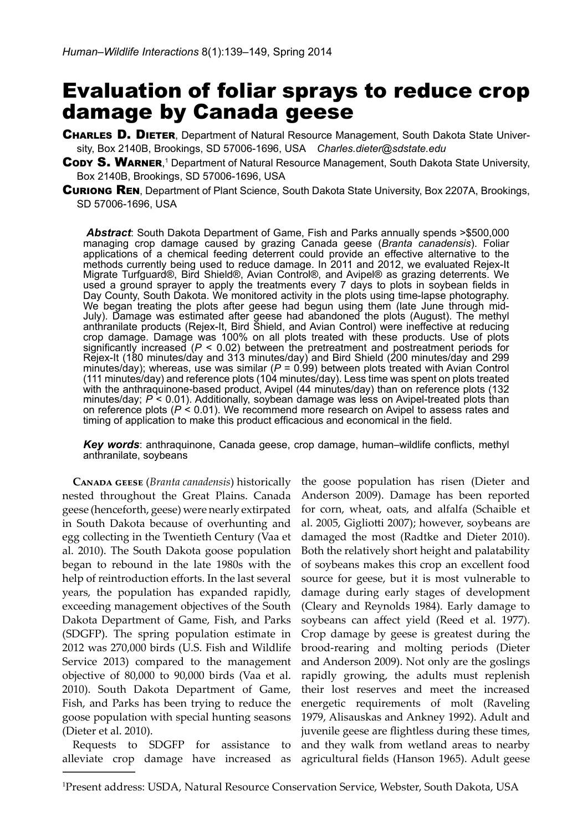# Evaluation of foliar sprays to reduce crop damage by Canada geese

- CHARLES D. DIETER, Department of Natural Resource Management, South Dakota State University, Box 2140B, Brookings, SD 57006-1696, USA *Charles.dieter@sdstate.edu*
- CODY S. WARNER,<sup>1</sup> Department of Natural Resource Management, South Dakota State University, Box 2140B, Brookings, SD 57006-1696, USA
- **CURIONG REN, Department of Plant Science, South Dakota State University, Box 2207A, Brookings,** SD 57006-1696, USA

*Abstract*: South Dakota Department of Game, Fish and Parks annually spends >\$500,000 managing crop damage caused by grazing Canada geese (*Branta canadensis*). Foliar applications of a chemical feeding deterrent could provide an effective alternative to the methods currently being used to reduce damage. In 2011 and 2012, we evaluated Rejex-It Migrate Turfguard®, Bird Shield®, Avian Control®, and Avipel® as grazing deterrents. We used a ground sprayer to apply the treatments every 7 days to plots in soybean fields in Day County, South Dakota. We monitored activity in the plots using time-lapse photography. We began treating the plots after geese had begun using them (late June through mid-July). Damage was estimated after geese had abandoned the plots (August). The methyl anthranilate products (Rejex-It, Bird Shield, and Avian Control) were ineffective at reducing crop damage. Damage was 100% on all plots treated with these products. Use of plots significantly increased (*P* < 0.02) between the pretreatment and postreatment periods for Rejex-It (180 minutes/day and 313 minutes/day) and Bird Shield (200 minutes/day and 299 minutes/day); whereas, use was similar (*P* = 0.99) between plots treated with Avian Control (111 minutes/day) and reference plots (104 minutes/day). Less time was spent on plots treated with the anthraquinone-based product, Avipel (44 minutes/day) than on reference plots (132 minutes/day; *P* < 0.01). Additionally, soybean damage was less on Avipel-treated plots than on reference plots ( $P < 0.01$ ). We recommend more research on Avipel to assess rates and timing of application to make this product efficacious and economical in the field.

*Key words*: anthraquinone, Canada geese, crop damage, human–wildlife conflicts, methyl anthranilate, soybeans

**Canada geese** (*Branta canadensis*) historically nested throughout the Great Plains. Canada geese (henceforth, geese) were nearly extirpated in South Dakota because of overhunting and egg collecting in the Twentieth Century (Vaa et al. 2010). The South Dakota goose population began to rebound in the late 1980s with the help of reintroduction efforts. In the last several years, the population has expanded rapidly, exceeding management objectives of the South Dakota Department of Game, Fish, and Parks (SDGFP). The spring population estimate in 2012 was 270,000 birds (U.S. Fish and Wildlife Service 2013) compared to the management objective of 80,000 to 90,000 birds (Vaa et al. 2010). South Dakota Department of Game, Fish, and Parks has been trying to reduce the goose population with special hunting seasons (Dieter et al. 2010).

Requests to SDGFP for assistance to alleviate crop damage have increased as the goose population has risen (Dieter and Anderson 2009). Damage has been reported for corn, wheat, oats, and alfalfa (Schaible et al. 2005, Gigliotti 2007); however, soybeans are damaged the most (Radtke and Dieter 2010). Both the relatively short height and palatability of soybeans makes this crop an excellent food source for geese, but it is most vulnerable to damage during early stages of development (Cleary and Reynolds 1984). Early damage to soybeans can affect yield (Reed et al. 1977). Crop damage by geese is greatest during the brood-rearing and molting periods (Dieter and Anderson 2009). Not only are the goslings rapidly growing, the adults must replenish their lost reserves and meet the increased energetic requirements of molt (Raveling 1979, Alisauskas and Ankney 1992). Adult and juvenile geese are flightless during these times, and they walk from wetland areas to nearby agricultural fields (Hanson 1965). Adult geese

<sup>1</sup> Present address: USDA, Natural Resource Conservation Service, Webster, South Dakota, USA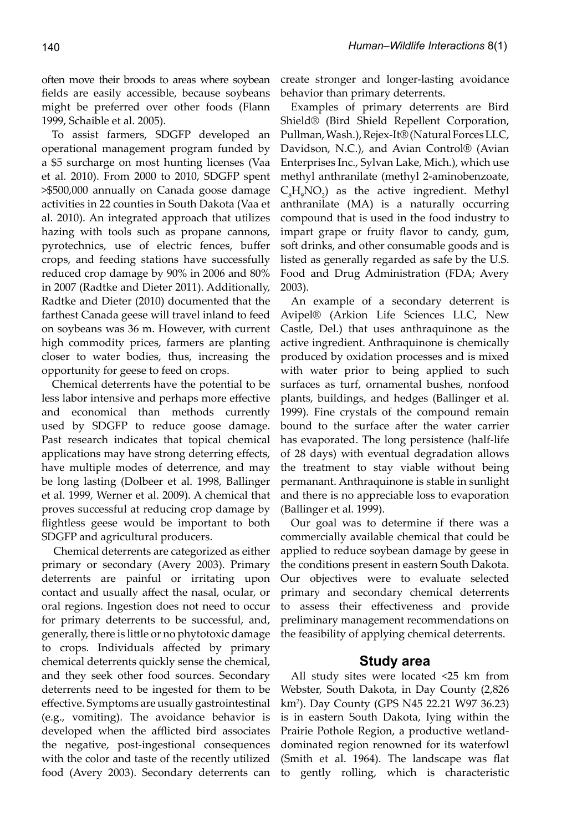often move their broods to areas where soybean fields are easily accessible, because soybeans might be preferred over other foods (Flann 1999, Schaible et al. 2005).

To assist farmers, SDGFP developed an operational management program funded by a \$5 surcharge on most hunting licenses (Vaa et al. 2010). From 2000 to 2010, SDGFP spent >\$500,000 annually on Canada goose damage activities in 22 counties in South Dakota (Vaa et al. 2010). An integrated approach that utilizes hazing with tools such as propane cannons, pyrotechnics, use of electric fences, buffer crops, and feeding stations have successfully reduced crop damage by 90% in 2006 and 80% in 2007 (Radtke and Dieter 2011). Additionally, Radtke and Dieter (2010) documented that the farthest Canada geese will travel inland to feed on soybeans was 36 m. However, with current high commodity prices, farmers are planting closer to water bodies, thus, increasing the opportunity for geese to feed on crops.

Chemical deterrents have the potential to be less labor intensive and perhaps more effective and economical than methods currently used by SDGFP to reduce goose damage. Past research indicates that topical chemical applications may have strong deterring effects, have multiple modes of deterrence, and may be long lasting (Dolbeer et al. 1998, Ballinger et al. 1999, Werner et al. 2009). A chemical that proves successful at reducing crop damage by flightless geese would be important to both SDGFP and agricultural producers.

Chemical deterrents are categorized as either primary or secondary (Avery 2003). Primary deterrents are painful or irritating upon contact and usually affect the nasal, ocular, or oral regions. Ingestion does not need to occur for primary deterrents to be successful, and, generally, there is little or no phytotoxic damage to crops. Individuals affected by primary chemical deterrents quickly sense the chemical, and they seek other food sources. Secondary deterrents need to be ingested for them to be effective. Symptoms are usually gastrointestinal (e.g., vomiting). The avoidance behavior is developed when the afflicted bird associates the negative, post-ingestional consequences with the color and taste of the recently utilized food (Avery 2003). Secondary deterrents can

create stronger and longer-lasting avoidance behavior than primary deterrents.

Examples of primary deterrents are Bird Shield® (Bird Shield Repellent Corporation, Pullman, Wash.), Rejex-It® (Natural Forces LLC, Davidson, N.C.), and Avian Control® (Avian Enterprises Inc., Sylvan Lake, Mich.), which use methyl anthranilate (methyl 2-aminobenzoate,  $C<sub>8</sub>H<sub>9</sub>NO<sub>2</sub>$  as the active ingredient. Methyl anthranilate (MA) is a naturally occurring compound that is used in the food industry to impart grape or fruity flavor to candy, gum, soft drinks, and other consumable goods and is listed as generally regarded as safe by the U.S. Food and Drug Administration (FDA; Avery 2003).

An example of a secondary deterrent is Avipel® (Arkion Life Sciences LLC, New Castle, Del.) that uses anthraquinone as the active ingredient. Anthraquinone is chemically produced by oxidation processes and is mixed with water prior to being applied to such surfaces as turf, ornamental bushes, nonfood plants, buildings, and hedges (Ballinger et al. 1999). Fine crystals of the compound remain bound to the surface after the water carrier has evaporated. The long persistence (half-life of 28 days) with eventual degradation allows the treatment to stay viable without being permanant. Anthraquinone is stable in sunlight and there is no appreciable loss to evaporation (Ballinger et al. 1999).

Our goal was to determine if there was a commercially available chemical that could be applied to reduce soybean damage by geese in the conditions present in eastern South Dakota. Our objectives were to evaluate selected primary and secondary chemical deterrents to assess their effectiveness and provide preliminary management recommendations on the feasibility of applying chemical deterrents.

# **Study area**

All study sites were located <25 km from Webster, South Dakota, in Day County (2,826 km2 ). Day County (GPS N45 22.21 W97 36.23) is in eastern South Dakota, lying within the Prairie Pothole Region, a productive wetlanddominated region renowned for its waterfowl (Smith et al. 1964). The landscape was flat to gently rolling, which is characteristic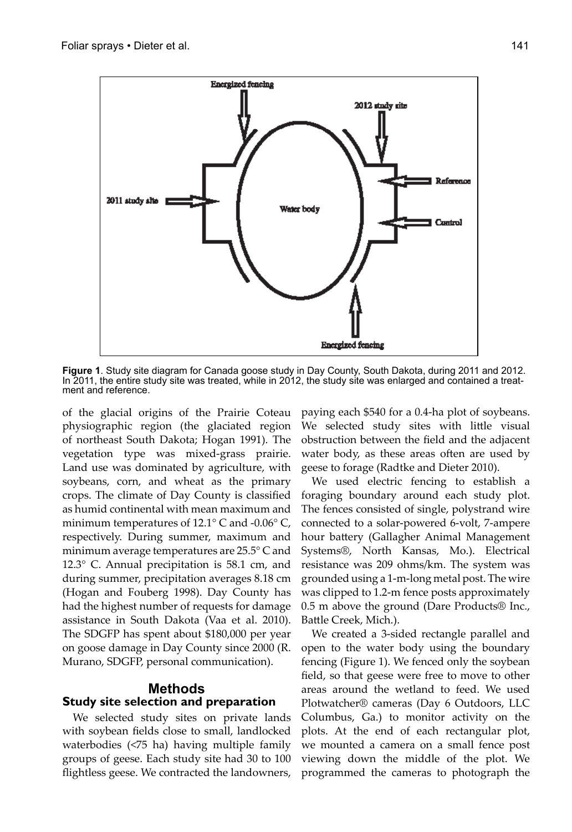

**Figure 1**. Study site diagram for Canada goose study in Day County, South Dakota, during 2011 and 2012. In 2011, the entire study site was treated, while in 2012, the study site was enlarged and contained a treatment and reference.

of the glacial origins of the Prairie Coteau physiographic region (the glaciated region of northeast South Dakota; Hogan 1991). The vegetation type was mixed-grass prairie. Land use was dominated by agriculture, with soybeans, corn, and wheat as the primary crops. The climate of Day County is classified as humid continental with mean maximum and minimum temperatures of  $12.1^{\circ}$  C and  $-0.06^{\circ}$  C, respectively. During summer, maximum and minimum average temperatures are 25.5° C and 12.3° C. Annual precipitation is 58.1 cm, and during summer, precipitation averages 8.18 cm (Hogan and Fouberg 1998). Day County has had the highest number of requests for damage assistance in South Dakota (Vaa et al. 2010). The SDGFP has spent about \$180,000 per year on goose damage in Day County since 2000 (R. Murano, SDGFP, personal communication).

# **Methods**

## **Study site selection and preparation**

We selected study sites on private lands with soybean fields close to small, landlocked waterbodies (<75 ha) having multiple family groups of geese. Each study site had 30 to 100 flightless geese. We contracted the landowners, paying each \$540 for a 0.4-ha plot of soybeans. We selected study sites with little visual obstruction between the field and the adjacent water body, as these areas often are used by geese to forage (Radtke and Dieter 2010).

We used electric fencing to establish a foraging boundary around each study plot. The fences consisted of single, polystrand wire connected to a solar-powered 6-volt, 7-ampere hour battery (Gallagher Animal Management Systems®, North Kansas, Mo.). Electrical resistance was 209 ohms/km. The system was grounded using a 1-m-long metal post. The wire was clipped to 1.2-m fence posts approximately 0.5 m above the ground (Dare Products® Inc., Battle Creek, Mich.).

We created a 3-sided rectangle parallel and open to the water body using the boundary fencing (Figure 1). We fenced only the soybean field, so that geese were free to move to other areas around the wetland to feed. We used Plotwatcher® cameras (Day 6 Outdoors, LLC Columbus, Ga.) to monitor activity on the plots. At the end of each rectangular plot, we mounted a camera on a small fence post viewing down the middle of the plot. We programmed the cameras to photograph the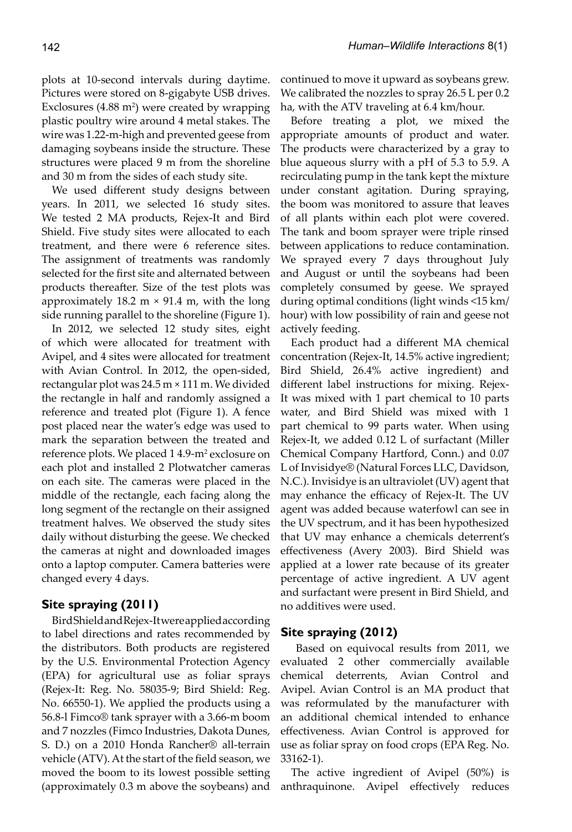plots at 10-second intervals during daytime. Pictures were stored on 8-gigabyte USB drives. Exclosures  $(4.88 \text{ m}^2)$  were created by wrapping plastic poultry wire around 4 metal stakes. The wire was 1.22-m-high and prevented geese from damaging soybeans inside the structure. These structures were placed 9 m from the shoreline and 30 m from the sides of each study site.

We used different study designs between years. In 2011, we selected 16 study sites. We tested 2 MA products, Rejex-It and Bird Shield. Five study sites were allocated to each treatment, and there were 6 reference sites. The assignment of treatments was randomly selected for the first site and alternated between products thereafter. Size of the test plots was approximately 18.2 m  $\times$  91.4 m, with the long side running parallel to the shoreline (Figure 1).

In 2012, we selected 12 study sites, eight of which were allocated for treatment with Avipel, and 4 sites were allocated for treatment with Avian Control. In 2012, the open-sided, rectangular plot was 24.5 m × 111 m. We divided the rectangle in half and randomly assigned a reference and treated plot (Figure 1). A fence post placed near the water's edge was used to mark the separation between the treated and reference plots. We placed 1 4.9-m<sup>2</sup> exclosure on each plot and installed 2 Plotwatcher cameras on each site. The cameras were placed in the middle of the rectangle, each facing along the long segment of the rectangle on their assigned treatment halves. We observed the study sites daily without disturbing the geese. We checked the cameras at night and downloaded images onto a laptop computer. Camera batteries were changed every 4 days.

### **Site spraying (2011)**

Bird Shield and Rejex-It were applied according to label directions and rates recommended by the distributors. Both products are registered by the U.S. Environmental Protection Agency (EPA) for agricultural use as foliar sprays (Rejex-It: Reg. No. 58035-9; Bird Shield: Reg. No. 66550-1). We applied the products using a 56.8-l Fimco® tank sprayer with a 3.66-m boom and 7 nozzles (Fimco Industries, Dakota Dunes, S. D.) on a 2010 Honda Rancher® all-terrain vehicle (ATV). At the start of the field season, we moved the boom to its lowest possible setting (approximately 0.3 m above the soybeans) and continued to move it upward as soybeans grew. We calibrated the nozzles to spray 26.5 L per 0.2 ha, with the ATV traveling at 6.4 km/hour.

Before treating a plot, we mixed the appropriate amounts of product and water. The products were characterized by a gray to blue aqueous slurry with a pH of 5.3 to 5.9. A recirculating pump in the tank kept the mixture under constant agitation. During spraying, the boom was monitored to assure that leaves of all plants within each plot were covered. The tank and boom sprayer were triple rinsed between applications to reduce contamination. We sprayed every 7 days throughout July and August or until the soybeans had been completely consumed by geese. We sprayed during optimal conditions (light winds <15 km/ hour) with low possibility of rain and geese not actively feeding.

Each product had a different MA chemical concentration (Rejex-It, 14.5% active ingredient; Bird Shield, 26.4% active ingredient) and different label instructions for mixing. Rejex-It was mixed with 1 part chemical to 10 parts water, and Bird Shield was mixed with 1 part chemical to 99 parts water. When using Rejex-It, we added 0.12 L of surfactant (Miller Chemical Company Hartford, Conn.) and 0.07 L of Invisidye® (Natural Forces LLC, Davidson, N.C.). Invisidye is an ultraviolet (UV) agent that may enhance the efficacy of Rejex-It. The UV agent was added because waterfowl can see in the UV spectrum, and it has been hypothesized that UV may enhance a chemicals deterrent's effectiveness (Avery 2003). Bird Shield was applied at a lower rate because of its greater percentage of active ingredient. A UV agent and surfactant were present in Bird Shield, and no additives were used.

### **Site spraying (2012)**

 Based on equivocal results from 2011, we evaluated 2 other commercially available chemical deterrents, Avian Control and Avipel. Avian Control is an MA product that was reformulated by the manufacturer with an additional chemical intended to enhance effectiveness. Avian Control is approved for use as foliar spray on food crops (EPA Reg. No. 33162-1).

The active ingredient of Avipel (50%) is anthraquinone. Avipel effectively reduces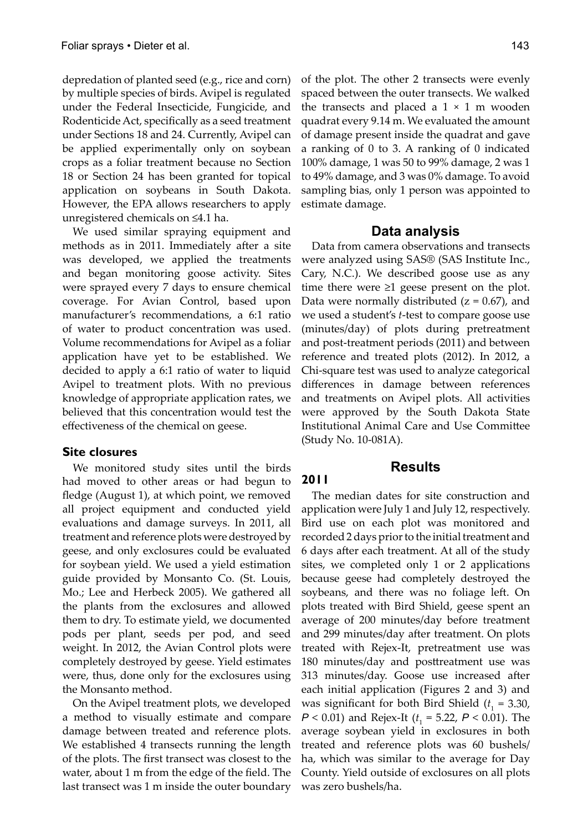depredation of planted seed (e.g., rice and corn) by multiple species of birds. Avipel is regulated under the Federal Insecticide, Fungicide, and Rodenticide Act, specifically as a seed treatment under Sections 18 and 24. Currently, Avipel can be applied experimentally only on soybean crops as a foliar treatment because no Section 18 or Section 24 has been granted for topical application on soybeans in South Dakota. However, the EPA allows researchers to apply unregistered chemicals on ≤4.1 ha.

We used similar spraying equipment and methods as in 2011. Immediately after a site was developed, we applied the treatments and began monitoring goose activity. Sites were sprayed every 7 days to ensure chemical coverage. For Avian Control, based upon manufacturer's recommendations, a 6:1 ratio of water to product concentration was used. Volume recommendations for Avipel as a foliar application have yet to be established. We decided to apply a 6:1 ratio of water to liquid Avipel to treatment plots. With no previous knowledge of appropriate application rates, we believed that this concentration would test the effectiveness of the chemical on geese.

### **Site closures**

We monitored study sites until the birds had moved to other areas or had begun to fledge (August 1), at which point, we removed all project equipment and conducted yield evaluations and damage surveys. In 2011, all treatment and reference plots were destroyed by geese, and only exclosures could be evaluated for soybean yield. We used a yield estimation guide provided by Monsanto Co. (St. Louis, Mo.; Lee and Herbeck 2005). We gathered all the plants from the exclosures and allowed them to dry. To estimate yield, we documented pods per plant, seeds per pod, and seed weight. In 2012, the Avian Control plots were completely destroyed by geese. Yield estimates were, thus, done only for the exclosures using the Monsanto method.

On the Avipel treatment plots, we developed a method to visually estimate and compare damage between treated and reference plots. We established 4 transects running the length of the plots. The first transect was closest to the water, about 1 m from the edge of the field. The last transect was 1 m inside the outer boundary of the plot. The other 2 transects were evenly spaced between the outer transects. We walked the transects and placed a  $1 \times 1$  m wooden quadrat every 9.14 m. We evaluated the amount of damage present inside the quadrat and gave a ranking of 0 to 3. A ranking of 0 indicated 100% damage, 1 was 50 to 99% damage, 2 was 1 to 49% damage, and 3 was 0% damage. To avoid sampling bias, only 1 person was appointed to estimate damage.

# **Data analysis**

Data from camera observations and transects were analyzed using SAS® (SAS Institute Inc., Cary, N.C.). We described goose use as any time there were ≥1 geese present on the plot. Data were normally distributed  $(z = 0.67)$ , and we used a student's *t*-test to compare goose use (minutes/day) of plots during pretreatment and post-treatment periods (2011) and between reference and treated plots (2012). In 2012, a Chi-square test was used to analyze categorical differences in damage between references and treatments on Avipel plots. All activities were approved by the South Dakota State Institutional Animal Care and Use Committee (Study No. 10-081A).

# **Results**

**2011**

The median dates for site construction and application were July 1 and July 12, respectively. Bird use on each plot was monitored and recorded 2 days prior to the initial treatment and 6 days after each treatment. At all of the study sites, we completed only 1 or 2 applications because geese had completely destroyed the soybeans, and there was no foliage left. On plots treated with Bird Shield, geese spent an average of 200 minutes/day before treatment and 299 minutes/day after treatment. On plots treated with Rejex-It, pretreatment use was 180 minutes/day and posttreatment use was 313 minutes/day. Goose use increased after each initial application (Figures 2 and 3) and was significant for both Bird Shield  $(t_1 = 3.30,$ *P* < 0.01) and Rejex-It (*t* 1 = 5.22, *P* < 0.01). The average soybean yield in exclosures in both treated and reference plots was 60 bushels/ ha, which was similar to the average for Day County. Yield outside of exclosures on all plots was zero bushels/ha.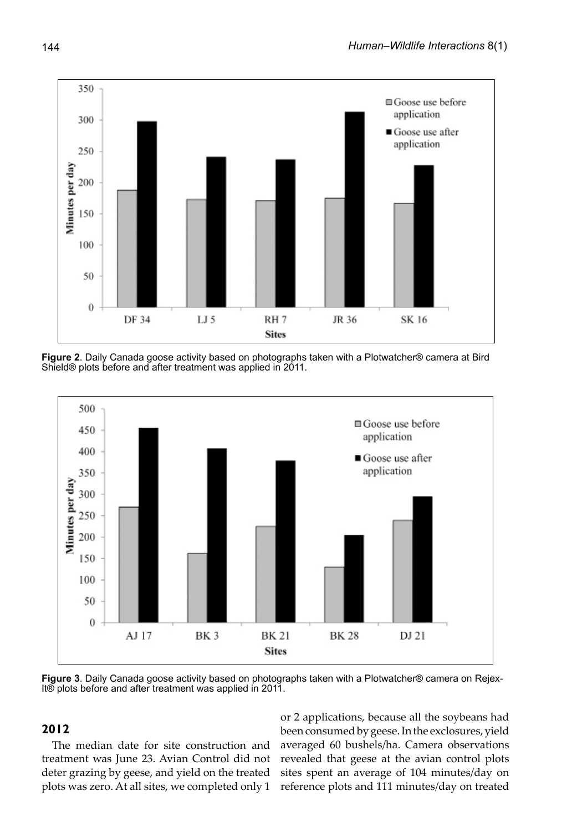

**Figure 2**. Daily Canada goose activity based on photographs taken with a Plotwatcher® camera at Bird Shield® plots before and after treatment was applied in 2011.



**Figure 3**. Daily Canada goose activity based on photographs taken with a Plotwatcher® camera on Rejex-It® plots before and after treatment was applied in 2011.

# **2012**

The median date for site construction and treatment was June 23. Avian Control did not deter grazing by geese, and yield on the treated plots was zero. At all sites, we completed only 1 reference plots and 111 minutes/day on treated

or 2 applications, because all the soybeans had been consumed by geese. In the exclosures, yield averaged 60 bushels/ha. Camera observations revealed that geese at the avian control plots sites spent an average of 104 minutes/day on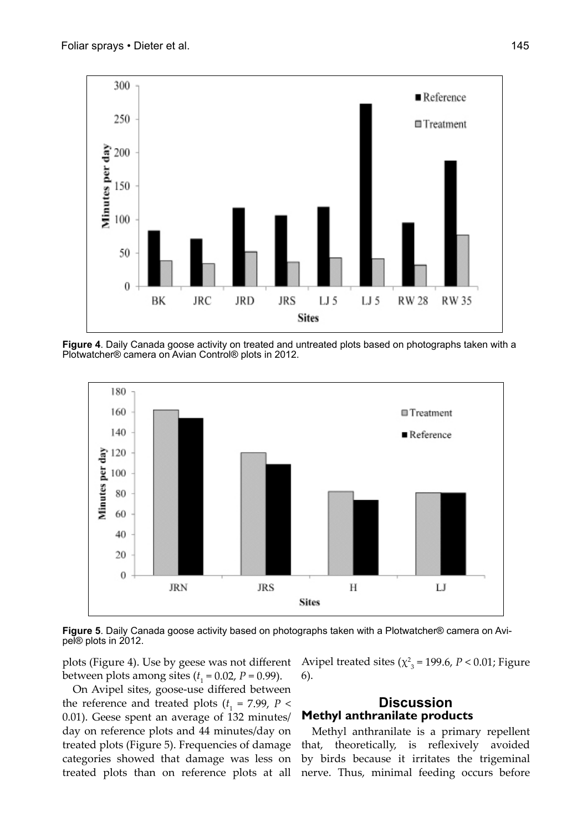

**Figure 4**. Daily Canada goose activity on treated and untreated plots based on photographs taken with a Plotwatcher® camera on Avian Control® plots in 2012.



**Figure 5**. Daily Canada goose activity based on photographs taken with a Plotwatcher® camera on Avi- pel® plots in 2012.

plots (Figure 4). Use by geese was not different between plots among sites  $(t<sub>1</sub> = 0.02, P = 0.99)$ .

On Avipel sites, goose-use differed between the reference and treated plots  $(t_1 = 7.99, P <$ 0.01). Geese spent an average of 132 minutes/ day on reference plots and 44 minutes/day on treated plots (Figure 5). Frequencies of damage categories showed that damage was less on treated plots than on reference plots at all

Avipel treated sites ( $\chi^2$ <sub>3</sub> = 199.6, *P* < 0.01; Figure 6).

# **Discussion Methyl anthranilate products**

Methyl anthranilate is a primary repellent that, theoretically, is reflexively avoided by birds because it irritates the trigeminal nerve. Thus, minimal feeding occurs before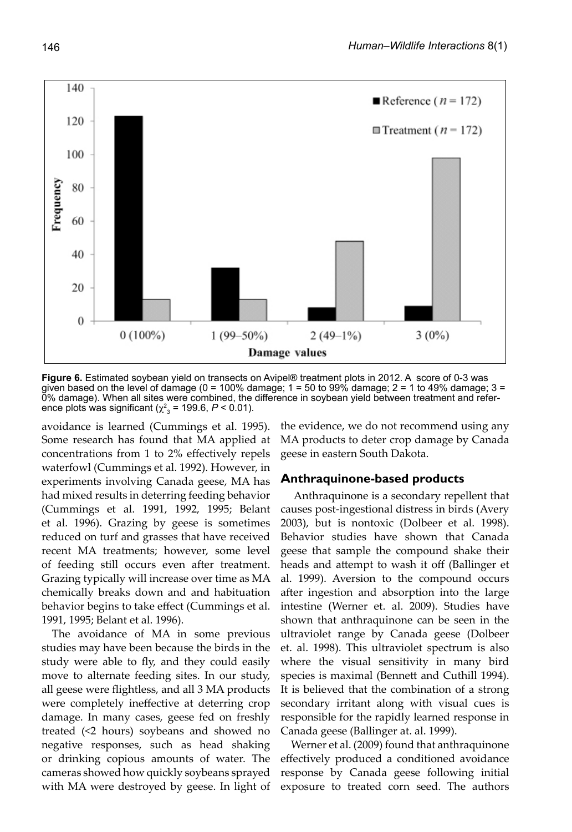

**Figure 6.** Estimated soybean yield on transects on Avipel® treatment plots in 2012. A score of 0-3 was given based on the level of damage (0 = 100% damage; 1 = 50 to 99% damage; 2 = 1 to 49% damage; 3 = 0% damage). When all sites were combined, the difference in soybean yield between treatment and reference plots was significant ( $\chi^2_{3}$  = 199.6, *P* < 0.01).

avoidance is learned (Cummings et al. 1995). Some research has found that MA applied at concentrations from 1 to 2% effectively repels waterfowl (Cummings et al. 1992). However, in experiments involving Canada geese, MA has had mixed results in deterring feeding behavior (Cummings et al. 1991, 1992, 1995; Belant et al. 1996). Grazing by geese is sometimes reduced on turf and grasses that have received recent MA treatments; however, some level of feeding still occurs even after treatment. Grazing typically will increase over time as MA chemically breaks down and and habituation behavior begins to take effect (Cummings et al. 1991, 1995; Belant et al. 1996).

The avoidance of MA in some previous studies may have been because the birds in the study were able to fly, and they could easily move to alternate feeding sites. In our study, all geese were flightless, and all 3 MA products were completely ineffective at deterring crop damage. In many cases, geese fed on freshly treated (<2 hours) soybeans and showed no negative responses, such as head shaking or drinking copious amounts of water. The cameras showed how quickly soybeans sprayed with MA were destroyed by geese. In light of the evidence, we do not recommend using any MA products to deter crop damage by Canada geese in eastern South Dakota.

### **Anthraquinone-based products**

 Anthraquinone is a secondary repellent that causes post-ingestional distress in birds (Avery 2003), but is nontoxic (Dolbeer et al. 1998). Behavior studies have shown that Canada geese that sample the compound shake their heads and attempt to wash it off (Ballinger et al. 1999). Aversion to the compound occurs after ingestion and absorption into the large intestine (Werner et. al. 2009). Studies have shown that anthraquinone can be seen in the ultraviolet range by Canada geese (Dolbeer et. al. 1998). This ultraviolet spectrum is also where the visual sensitivity in many bird species is maximal (Bennett and Cuthill 1994). It is believed that the combination of a strong secondary irritant along with visual cues is responsible for the rapidly learned response in Canada geese (Ballinger at. al. 1999).

Werner et al. (2009) found that anthraquinone effectively produced a conditioned avoidance response by Canada geese following initial exposure to treated corn seed. The authors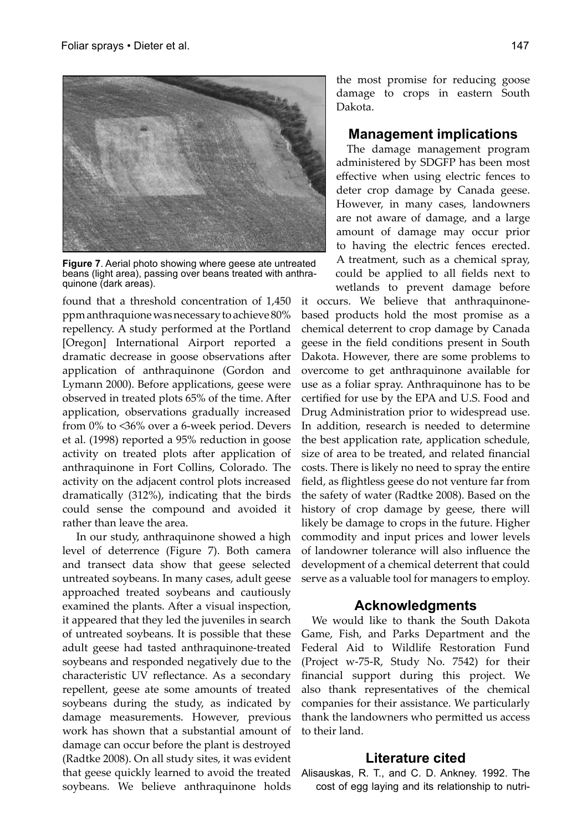

**Figure 7**. Aerial photo showing where geese ate untreated beans (light area), passing over beans treated with anthraquinone (dark areas).

found that a threshold concentration of 1,450 ppm anthraquione was necessary to achieve 80% repellency. A study performed at the Portland [Oregon] International Airport reported a dramatic decrease in goose observations after application of anthraquinone (Gordon and Lymann 2000). Before applications, geese were observed in treated plots 65% of the time. After application, observations gradually increased from 0% to <36% over a 6-week period. Devers et al. (1998) reported a 95% reduction in goose activity on treated plots after application of anthraquinone in Fort Collins, Colorado. The activity on the adjacent control plots increased dramatically (312%), indicating that the birds could sense the compound and avoided it rather than leave the area.

 In our study, anthraquinone showed a high level of deterrence (Figure 7). Both camera and transect data show that geese selected untreated soybeans. In many cases, adult geese approached treated soybeans and cautiously examined the plants. After a visual inspection, it appeared that they led the juveniles in search of untreated soybeans. It is possible that these adult geese had tasted anthraquinone-treated soybeans and responded negatively due to the characteristic UV reflectance. As a secondary repellent, geese ate some amounts of treated soybeans during the study, as indicated by damage measurements. However, previous work has shown that a substantial amount of damage can occur before the plant is destroyed (Radtke 2008). On all study sites, it was evident that geese quickly learned to avoid the treated soybeans. We believe anthraquinone holds

the most promise for reducing goose damage to crops in eastern South Dakota.

# **Management implications**

The damage management program administered by SDGFP has been most effective when using electric fences to deter crop damage by Canada geese. However, in many cases, landowners are not aware of damage, and a large amount of damage may occur prior to having the electric fences erected. A treatment, such as a chemical spray, could be applied to all fields next to wetlands to prevent damage before

it occurs. We believe that anthraquinonebased products hold the most promise as a chemical deterrent to crop damage by Canada geese in the field conditions present in South Dakota. However, there are some problems to overcome to get anthraquinone available for use as a foliar spray. Anthraquinone has to be certified for use by the EPA and U.S. Food and Drug Administration prior to widespread use. In addition, research is needed to determine the best application rate, application schedule, size of area to be treated, and related financial costs. There is likely no need to spray the entire field, as flightless geese do not venture far from the safety of water (Radtke 2008). Based on the history of crop damage by geese, there will likely be damage to crops in the future. Higher commodity and input prices and lower levels of landowner tolerance will also influence the development of a chemical deterrent that could serve as a valuable tool for managers to employ.

### **Acknowledgments**

We would like to thank the South Dakota Game, Fish, and Parks Department and the Federal Aid to Wildlife Restoration Fund (Project w-75-R, Study No. 7542) for their financial support during this project. We also thank representatives of the chemical companies for their assistance. We particularly thank the landowners who permitted us access to their land.

### **Literature cited**

Alisauskas, R. T., and C. D. Ankney. 1992. The cost of egg laying and its relationship to nutri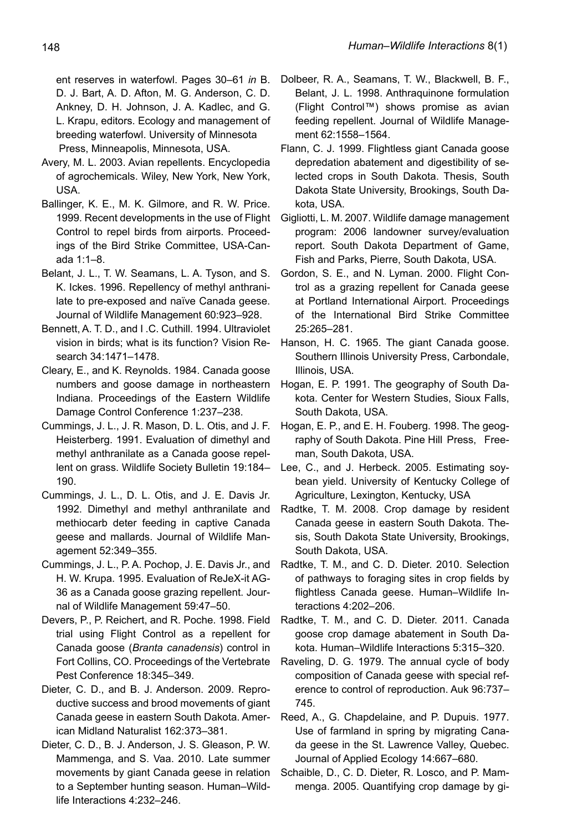ent reserves in waterfowl. Pages 30–61 *in* B. D. J. Bart, A. D. Afton, M. G. Anderson, C. D. Ankney, D. H. Johnson, J. A. Kadlec, and G. L. Krapu, editors. Ecology and management of breeding waterfowl. University of Minnesota Press, Minneapolis, Minnesota, USA.

- Avery, M. L. 2003. Avian repellents. Encyclopedia of agrochemicals. Wiley, New York, New York, USA.
- Ballinger, K. E., M. K. Gilmore, and R. W. Price. 1999. Recent developments in the use of Flight Control to repel birds from airports. Proceedings of the Bird Strike Committee, USA-Canada 1:1–8.
- Belant, J. L., T. W. Seamans, L. A. Tyson, and S. K. Ickes. 1996. Repellency of methyl anthranilate to pre-exposed and naïve Canada geese. Journal of Wildlife Management 60:923–928.
- Bennett, A. T. D., and I .C. Cuthill. 1994. Ultraviolet vision in birds; what is its function? Vision Research 34:1471–1478.
- Cleary, E., and K. Reynolds. 1984. Canada goose numbers and goose damage in northeastern Indiana. Proceedings of the Eastern Wildlife Damage Control Conference 1:237–238.
- Cummings, J. L., J. R. Mason, D. L. Otis, and J. F. Heisterberg. 1991. Evaluation of dimethyl and methyl anthranilate as a Canada goose repellent on grass. Wildlife Society Bulletin 19:184– 190.
- Cummings, J. L., D. L. Otis, and J. E. Davis Jr. 1992. Dimethyl and methyl anthranilate and methiocarb deter feeding in captive Canada geese and mallards. Journal of Wildlife Management 52:349–355.
- Cummings, J. L., P. A. Pochop, J. E. Davis Jr., and H. W. Krupa. 1995. Evaluation of ReJeX-it AG-36 as a Canada goose grazing repellent. Journal of Wildlife Management 59:47–50.
- Devers, P., P. Reichert, and R. Poche. 1998. Field trial using Flight Control as a repellent for Canada goose (*Branta canadensis*) control in Fort Collins, CO. Proceedings of the Vertebrate Pest Conference 18:345–349.
- Dieter, C. D., and B. J. Anderson. 2009. Reproductive success and brood movements of giant Canada geese in eastern South Dakota. American Midland Naturalist 162:373–381.
- Dieter, C. D., B. J. Anderson, J. S. Gleason, P. W. Mammenga, and S. Vaa. 2010. Late summer movements by giant Canada geese in relation to a September hunting season. Human–Wildlife Interactions 4:232–246.
- Dolbeer, R. A., Seamans, T. W., Blackwell, B. F., Belant, J. L. 1998. Anthraquinone formulation (Flight Control™) shows promise as avian feeding repellent. Journal of Wildlife Management 62:1558–1564.
- Flann, C. J. 1999. Flightless giant Canada goose depredation abatement and digestibility of selected crops in South Dakota. Thesis, South Dakota State University, Brookings, South Dakota, USA.
- Gigliotti, L. M. 2007. Wildlife damage management program: 2006 landowner survey/evaluation report. South Dakota Department of Game, Fish and Parks, Pierre, South Dakota, USA.
- Gordon, S. E., and N. Lyman. 2000. Flight Control as a grazing repellent for Canada geese at Portland International Airport. Proceedings of the International Bird Strike Committee 25:265–281.
- Hanson, H. C. 1965. The giant Canada goose. Southern Illinois University Press, Carbondale, Illinois, USA.
- Hogan, E. P. 1991. The geography of South Dakota. Center for Western Studies, Sioux Falls, South Dakota, USA.
- Hogan, E. P., and E. H. Fouberg. 1998. The geography of South Dakota. Pine Hill Press, Freeman, South Dakota, USA.
- Lee, C., and J. Herbeck. 2005. Estimating soybean yield. University of Kentucky College of Agriculture, Lexington, Kentucky, USA
- Radtke, T. M. 2008. Crop damage by resident Canada geese in eastern South Dakota. Thesis, South Dakota State University, Brookings, South Dakota, USA.
- Radtke, T. M., and C. D. Dieter. 2010. Selection of pathways to foraging sites in crop fields by flightless Canada geese. Human–Wildlife Interactions 4:202–206.
- Radtke, T. M., and C. D. Dieter. 2011. Canada goose crop damage abatement in South Dakota. Human–Wildlife Interactions 5:315–320.
- Raveling, D. G. 1979. The annual cycle of body composition of Canada geese with special reference to control of reproduction. Auk 96:737– 745.
- Reed, A., G. Chapdelaine, and P. Dupuis. 1977. Use of farmland in spring by migrating Canada geese in the St. Lawrence Valley, Quebec. Journal of Applied Ecology 14:667–680.
- Schaible, D., C. D. Dieter, R. Losco, and P. Mammenga. 2005. Quantifying crop damage by gi-